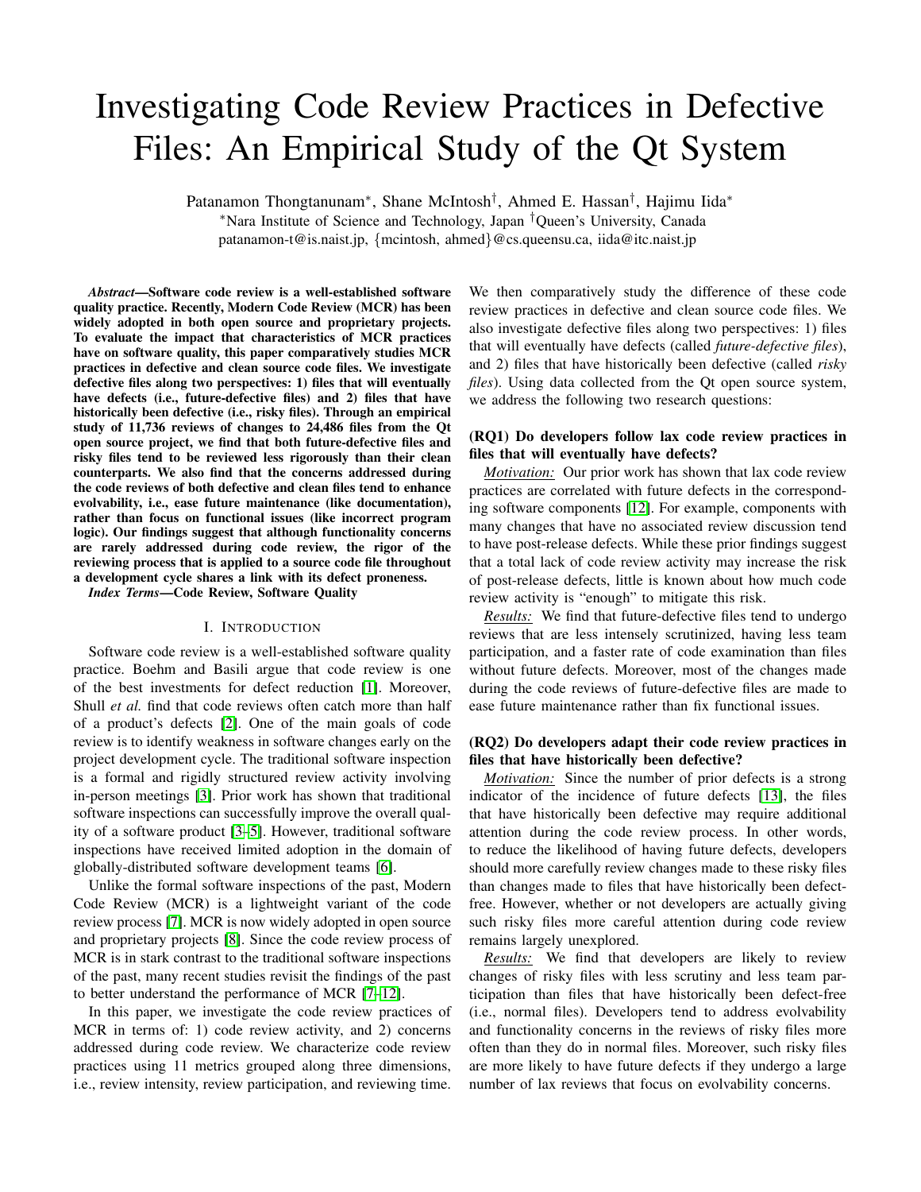# Investigating Code Review Practices in Defective Files: An Empirical Study of the Qt System

Patanamon Thongtanunam<sup>∗</sup>, Shane McIntosh<sup>†</sup>, Ahmed E. Hassan<sup>†</sup>, Hajimu Iida<sup>∗</sup> <sup>∗</sup>Nara Institute of Science and Technology, Japan †Queen's University, Canada patanamon-t@is.naist.jp, {mcintosh, ahmed}@cs.queensu.ca, iida@itc.naist.jp

*Abstract*—Software code review is a well-established software quality practice. Recently, Modern Code Review (MCR) has been widely adopted in both open source and proprietary projects. To evaluate the impact that characteristics of MCR practices have on software quality, this paper comparatively studies MCR practices in defective and clean source code files. We investigate defective files along two perspectives: 1) files that will eventually have defects (i.e., future-defective files) and 2) files that have historically been defective (i.e., risky files). Through an empirical study of 11,736 reviews of changes to 24,486 files from the Qt open source project, we find that both future-defective files and risky files tend to be reviewed less rigorously than their clean counterparts. We also find that the concerns addressed during the code reviews of both defective and clean files tend to enhance evolvability, i.e., ease future maintenance (like documentation), rather than focus on functional issues (like incorrect program logic). Our findings suggest that although functionality concerns are rarely addressed during code review, the rigor of the reviewing process that is applied to a source code file throughout a development cycle shares a link with its defect proneness.

*Index Terms*—Code Review, Software Quality

#### I. INTRODUCTION

Software code review is a well-established software quality practice. Boehm and Basili argue that code review is one of the best investments for defect reduction [\[1\]](#page-10-0). Moreover, Shull *et al.* find that code reviews often catch more than half of a product's defects [\[2\]](#page-10-1). One of the main goals of code review is to identify weakness in software changes early on the project development cycle. The traditional software inspection is a formal and rigidly structured review activity involving in-person meetings [\[3\]](#page-10-2). Prior work has shown that traditional software inspections can successfully improve the overall quality of a software product [\[3](#page-10-2)[–5\]](#page-10-3). However, traditional software inspections have received limited adoption in the domain of globally-distributed software development teams [\[6\]](#page-10-4).

Unlike the formal software inspections of the past, Modern Code Review (MCR) is a lightweight variant of the code review process [\[7\]](#page-10-5). MCR is now widely adopted in open source and proprietary projects [\[8\]](#page-10-6). Since the code review process of MCR is in stark contrast to the traditional software inspections of the past, many recent studies revisit the findings of the past to better understand the performance of MCR [\[7–](#page-10-5)[12\]](#page-10-7).

In this paper, we investigate the code review practices of MCR in terms of: 1) code review activity, and 2) concerns addressed during code review. We characterize code review practices using 11 metrics grouped along three dimensions, i.e., review intensity, review participation, and reviewing time.

We then comparatively study the difference of these code review practices in defective and clean source code files. We also investigate defective files along two perspectives: 1) files that will eventually have defects (called *future-defective files*), and 2) files that have historically been defective (called *risky files*). Using data collected from the Qt open source system, we address the following two research questions:

# (RQ1) Do developers follow lax code review practices in files that will eventually have defects?

*Motivation:* Our prior work has shown that lax code review practices are correlated with future defects in the corresponding software components [\[12\]](#page-10-7). For example, components with many changes that have no associated review discussion tend to have post-release defects. While these prior findings suggest that a total lack of code review activity may increase the risk of post-release defects, little is known about how much code review activity is "enough" to mitigate this risk.

*Results:* We find that future-defective files tend to undergo reviews that are less intensely scrutinized, having less team participation, and a faster rate of code examination than files without future defects. Moreover, most of the changes made during the code reviews of future-defective files are made to ease future maintenance rather than fix functional issues.

# (RQ2) Do developers adapt their code review practices in files that have historically been defective?

*Motivation:* Since the number of prior defects is a strong indicator of the incidence of future defects [\[13\]](#page-10-8), the files that have historically been defective may require additional attention during the code review process. In other words, to reduce the likelihood of having future defects, developers should more carefully review changes made to these risky files than changes made to files that have historically been defectfree. However, whether or not developers are actually giving such risky files more careful attention during code review remains largely unexplored.

*Results:* We find that developers are likely to review changes of risky files with less scrutiny and less team participation than files that have historically been defect-free (i.e., normal files). Developers tend to address evolvability and functionality concerns in the reviews of risky files more often than they do in normal files. Moreover, such risky files are more likely to have future defects if they undergo a large number of lax reviews that focus on evolvability concerns.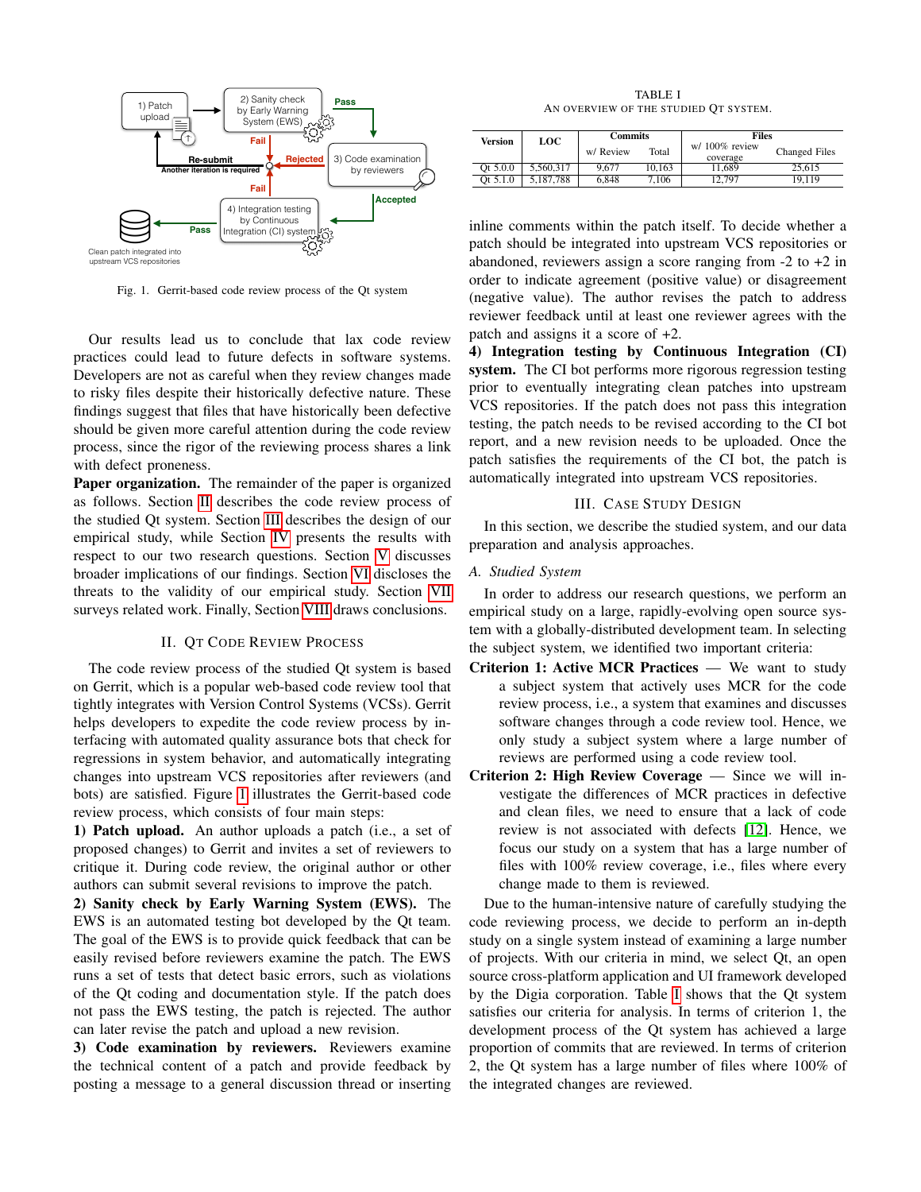

<span id="page-1-2"></span>Fig. 1. Gerrit-based code review process of the Qt system

Our results lead us to conclude that lax code review practices could lead to future defects in software systems. Developers are not as careful when they review changes made to risky files despite their historically defective nature. These findings suggest that files that have historically been defective should be given more careful attention during the code review process, since the rigor of the reviewing process shares a link with defect proneness.

Paper organization. The remainder of the paper is organized as follows. Section [II](#page-1-0) describes the code review process of the studied Qt system. Section [III](#page-1-1) describes the design of our empirical study, while Section [IV](#page-4-0) presents the results with respect to our two research questions. Section [V](#page-8-0) discusses broader implications of our findings. Section [VI](#page-8-1) discloses the threats to the validity of our empirical study. Section [VII](#page-9-0) surveys related work. Finally, Section [VIII](#page-9-1) draws conclusions.

# II. QT CODE REVIEW PROCESS

<span id="page-1-0"></span>The code review process of the studied Qt system is based on Gerrit, which is a popular web-based code review tool that tightly integrates with Version Control Systems (VCSs). Gerrit helps developers to expedite the code review process by interfacing with automated quality assurance bots that check for regressions in system behavior, and automatically integrating changes into upstream VCS repositories after reviewers (and bots) are satisfied. Figure [1](#page-1-2) illustrates the Gerrit-based code review process, which consists of four main steps:

1) Patch upload. An author uploads a patch (i.e., a set of proposed changes) to Gerrit and invites a set of reviewers to critique it. During code review, the original author or other authors can submit several revisions to improve the patch.

2) Sanity check by Early Warning System (EWS). The EWS is an automated testing bot developed by the Qt team. The goal of the EWS is to provide quick feedback that can be easily revised before reviewers examine the patch. The EWS runs a set of tests that detect basic errors, such as violations of the Qt coding and documentation style. If the patch does not pass the EWS testing, the patch is rejected. The author can later revise the patch and upload a new revision.

3) Code examination by reviewers. Reviewers examine the technical content of a patch and provide feedback by posting a message to a general discussion thread or inserting

TABLE I AN OVERVIEW OF THE STUDIED QT SYSTEM.

<span id="page-1-3"></span>

| Version    | LOC       | <b>Commits</b> |        | Files                        |                      |
|------------|-----------|----------------|--------|------------------------------|----------------------|
|            |           | w/ Review      | Total  | $w/100\%$ review<br>coverage | <b>Changed Files</b> |
| $Ot$ 5.0.0 | 5.560.317 | 9.677          | 10.163 | 11.689                       | 25.615               |
| Ot $5.1.0$ | 5.187.788 | 6.848          | 7.106  | 12.797                       | 19.119               |

inline comments within the patch itself. To decide whether a patch should be integrated into upstream VCS repositories or abandoned, reviewers assign a score ranging from  $-2$  to  $+2$  in order to indicate agreement (positive value) or disagreement (negative value). The author revises the patch to address reviewer feedback until at least one reviewer agrees with the patch and assigns it a score of +2.

4) Integration testing by Continuous Integration (CI) system. The CI bot performs more rigorous regression testing prior to eventually integrating clean patches into upstream VCS repositories. If the patch does not pass this integration testing, the patch needs to be revised according to the CI bot report, and a new revision needs to be uploaded. Once the patch satisfies the requirements of the CI bot, the patch is automatically integrated into upstream VCS repositories.

# III. CASE STUDY DESIGN

<span id="page-1-1"></span>In this section, we describe the studied system, and our data preparation and analysis approaches.

# <span id="page-1-4"></span>*A. Studied System*

In order to address our research questions, we perform an empirical study on a large, rapidly-evolving open source system with a globally-distributed development team. In selecting the subject system, we identified two important criteria:

- Criterion 1: Active MCR Practices We want to study a subject system that actively uses MCR for the code review process, i.e., a system that examines and discusses software changes through a code review tool. Hence, we only study a subject system where a large number of reviews are performed using a code review tool.
- Criterion 2: High Review Coverage Since we will investigate the differences of MCR practices in defective and clean files, we need to ensure that a lack of code review is not associated with defects [\[12\]](#page-10-7). Hence, we focus our study on a system that has a large number of files with 100% review coverage, i.e., files where every change made to them is reviewed.

Due to the human-intensive nature of carefully studying the code reviewing process, we decide to perform an in-depth study on a single system instead of examining a large number of projects. With our criteria in mind, we select Qt, an open source cross-platform application and UI framework developed by the Digia corporation. Table [I](#page-1-3) shows that the Qt system satisfies our criteria for analysis. In terms of criterion 1, the development process of the Qt system has achieved a large proportion of commits that are reviewed. In terms of criterion 2, the Qt system has a large number of files where 100% of the integrated changes are reviewed.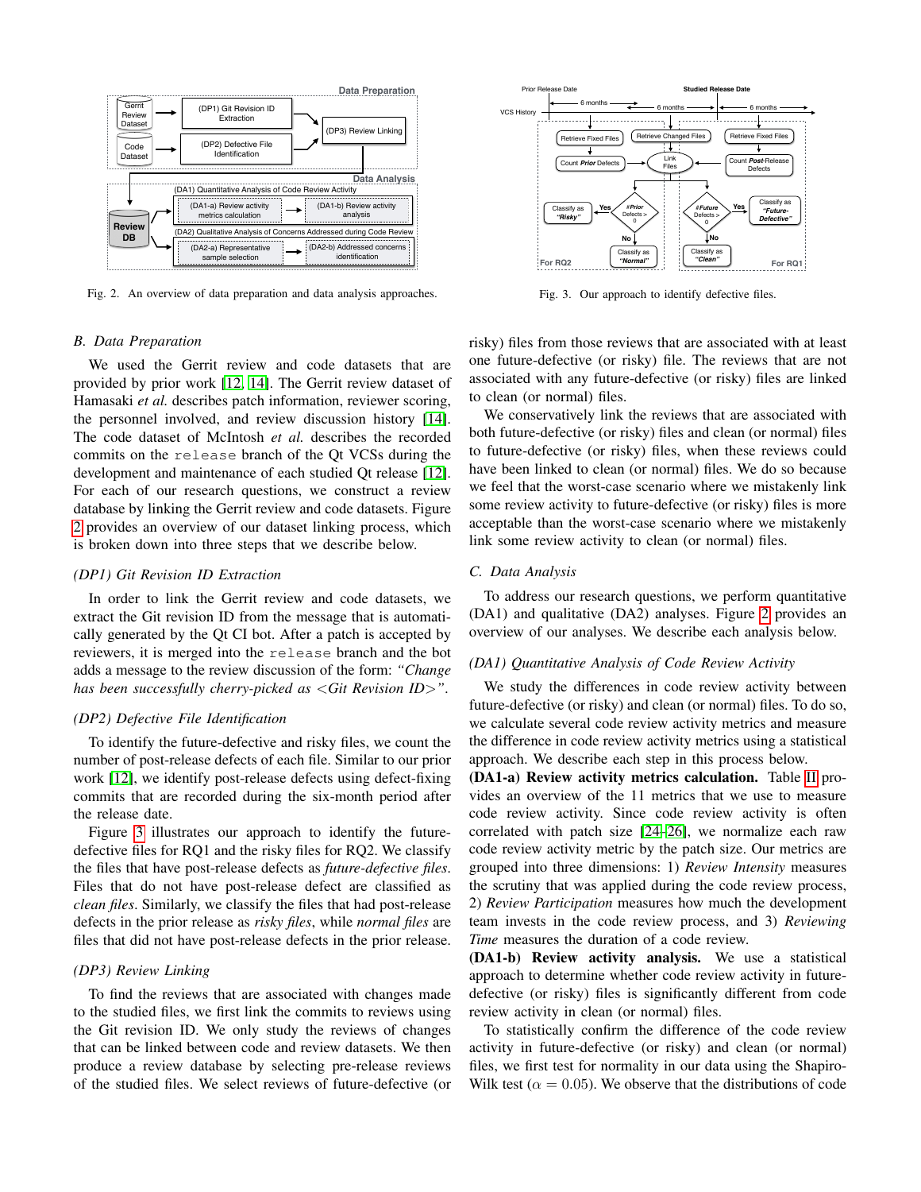

<span id="page-2-0"></span>Fig. 2. An overview of data preparation and data analysis approaches.



<span id="page-2-1"></span>Fig. 3. Our approach to identify defective files.

# *B. Data Preparation*

We used the Gerrit review and code datasets that are provided by prior work [\[12,](#page-10-7) [14\]](#page-10-9). The Gerrit review dataset of Hamasaki *et al.* describes patch information, reviewer scoring, the personnel involved, and review discussion history [\[14\]](#page-10-9). The code dataset of McIntosh *et al.* describes the recorded commits on the release branch of the Qt VCSs during the development and maintenance of each studied Qt release [\[12\]](#page-10-7). For each of our research questions, we construct a review database by linking the Gerrit review and code datasets. Figure [2](#page-2-0) provides an overview of our dataset linking process, which is broken down into three steps that we describe below.

### *(DP1) Git Revision ID Extraction*

In order to link the Gerrit review and code datasets, we extract the Git revision ID from the message that is automatically generated by the Qt CI bot. After a patch is accepted by reviewers, it is merged into the release branch and the bot adds a message to the review discussion of the form: *"Change has been successfully cherry-picked as* <*Git Revision ID*>*"*.

# *(DP2) Defective File Identification*

To identify the future-defective and risky files, we count the number of post-release defects of each file. Similar to our prior work [\[12\]](#page-10-7), we identify post-release defects using defect-fixing commits that are recorded during the six-month period after the release date.

Figure [3](#page-2-1) illustrates our approach to identify the futuredefective files for RQ1 and the risky files for RQ2. We classify the files that have post-release defects as *future-defective files*. Files that do not have post-release defect are classified as *clean files*. Similarly, we classify the files that had post-release defects in the prior release as *risky files*, while *normal files* are files that did not have post-release defects in the prior release.

### *(DP3) Review Linking*

To find the reviews that are associated with changes made to the studied files, we first link the commits to reviews using the Git revision ID. We only study the reviews of changes that can be linked between code and review datasets. We then produce a review database by selecting pre-release reviews of the studied files. We select reviews of future-defective (or risky) files from those reviews that are associated with at least one future-defective (or risky) file. The reviews that are not associated with any future-defective (or risky) files are linked to clean (or normal) files.

We conservatively link the reviews that are associated with both future-defective (or risky) files and clean (or normal) files to future-defective (or risky) files, when these reviews could have been linked to clean (or normal) files. We do so because we feel that the worst-case scenario where we mistakenly link some review activity to future-defective (or risky) files is more acceptable than the worst-case scenario where we mistakenly link some review activity to clean (or normal) files.

#### *C. Data Analysis*

To address our research questions, we perform quantitative (DA1) and qualitative (DA2) analyses. Figure [2](#page-2-0) provides an overview of our analyses. We describe each analysis below.

# *(DA1) Quantitative Analysis of Code Review Activity*

We study the differences in code review activity between future-defective (or risky) and clean (or normal) files. To do so, we calculate several code review activity metrics and measure the difference in code review activity metrics using a statistical approach. We describe each step in this process below.

(DA1-a) Review activity metrics calculation. Table [II](#page-3-0) provides an overview of the 11 metrics that we use to measure code review activity. Since code review activity is often correlated with patch size [\[24–](#page-10-10)[26\]](#page-11-0), we normalize each raw code review activity metric by the patch size. Our metrics are grouped into three dimensions: 1) *Review Intensity* measures the scrutiny that was applied during the code review process, 2) *Review Participation* measures how much the development team invests in the code review process, and 3) *Reviewing Time* measures the duration of a code review.

(DA1-b) Review activity analysis. We use a statistical approach to determine whether code review activity in futuredefective (or risky) files is significantly different from code review activity in clean (or normal) files.

To statistically confirm the difference of the code review activity in future-defective (or risky) and clean (or normal) files, we first test for normality in our data using the Shapiro-Wilk test ( $\alpha = 0.05$ ). We observe that the distributions of code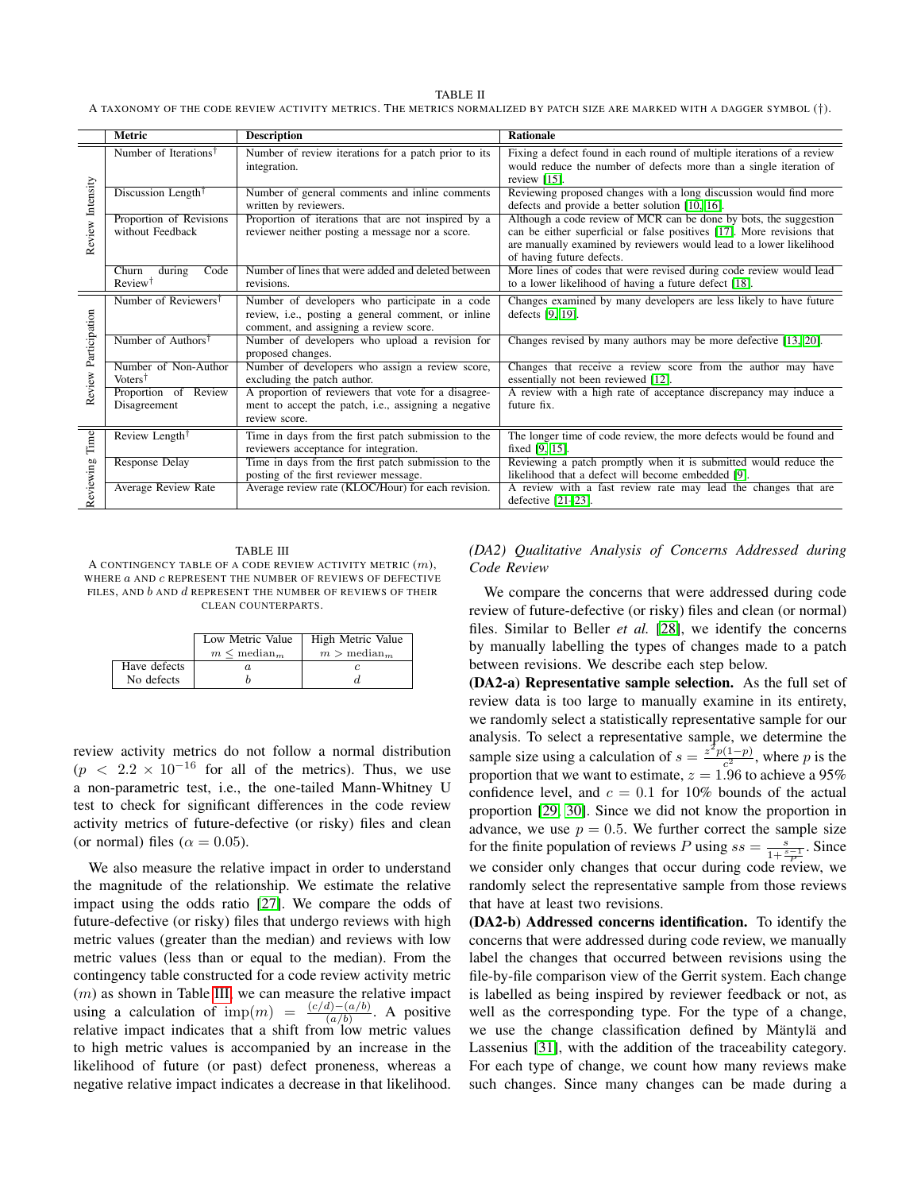#### TABLE II

<span id="page-3-0"></span>A TAXONOMY OF THE CODE REVIEW ACTIVITY METRICS. THE METRICS NORMALIZED BY PATCH SIZE ARE MARKED WITH A DAGGER SYMBOL (†).

|                      | <b>Metric</b>                                                  | <b>Description</b>                                                                                                                             | <b>Rationale</b>                                                                                                                                                                                                                                |
|----------------------|----------------------------------------------------------------|------------------------------------------------------------------------------------------------------------------------------------------------|-------------------------------------------------------------------------------------------------------------------------------------------------------------------------------------------------------------------------------------------------|
|                      | Number of Iterations <sup>†</sup>                              | Number of review iterations for a patch prior to its<br>integration.                                                                           | Fixing a defect found in each round of multiple iterations of a review<br>would reduce the number of defects more than a single iteration of<br>review $[15]$ .                                                                                 |
|                      | Discussion Length <sup>†</sup>                                 | Number of general comments and inline comments<br>written by reviewers.                                                                        | Reviewing proposed changes with a long discussion would find more<br>defects and provide a better solution [10, 16].                                                                                                                            |
| Review Intensity     | Proportion of Revisions<br>without Feedback                    | Proportion of iterations that are not inspired by a<br>reviewer neither posting a message nor a score.                                         | Although a code review of MCR can be done by bots, the suggestion<br>can be either superficial or false positives [17]. More revisions that<br>are manually examined by reviewers would lead to a lower likelihood<br>of having future defects. |
|                      | Code<br>Churn<br>during<br>$Review^{\dagger}$                  | Number of lines that were added and deleted between<br>revisions.                                                                              | More lines of codes that were revised during code review would lead<br>to a lower likelihood of having a future defect [18].                                                                                                                    |
| Review Participation | Number of Reviewers <sup>†</sup>                               | Number of developers who participate in a code<br>review, i.e., posting a general comment, or inline<br>comment, and assigning a review score. | Changes examined by many developers are less likely to have future<br>defects $[9, 19]$ .                                                                                                                                                       |
|                      | Number of Authors <sup>†</sup>                                 | Number of developers who upload a revision for<br>proposed changes.                                                                            | Changes revised by many authors may be more defective [13, 20].                                                                                                                                                                                 |
|                      | Number of Non-Author<br>Voters <sup><math>\dagger</math></sup> | Number of developers who assign a review score,<br>excluding the patch author.                                                                 | Changes that receive a review score from the author may have<br>essentially not been reviewed [12].                                                                                                                                             |
|                      | Proportion of Review<br>Disagreement                           | A proportion of reviewers that vote for a disagree-<br>ment to accept the patch, <i>i.e.</i> , assigning a negative<br>review score.           | A review with a high rate of acceptance discrepancy may induce a<br>future fix.                                                                                                                                                                 |
| Time                 | Review Length <sup>1</sup>                                     | Time in days from the first patch submission to the<br>reviewers acceptance for integration.                                                   | The longer time of code review, the more defects would be found and<br>fixed $[9, 15]$ .                                                                                                                                                        |
|                      | <b>Response Delay</b>                                          | Time in days from the first patch submission to the<br>posting of the first reviewer message.                                                  | Reviewing a patch promptly when it is submitted would reduce the<br>likelihood that a defect will become embedded [9].                                                                                                                          |
| Reviewing            | Average Review Rate                                            | Average review rate (KLOC/Hour) for each revision.                                                                                             | A review with a fast review rate may lead the changes that are<br>defective $[21-23]$ .                                                                                                                                                         |

#### TABLE III

<span id="page-3-1"></span>A CONTINGENCY TABLE OF A CODE REVIEW ACTIVITY METRIC  $(m)$ , WHERE *a* AND *c* REPRESENT THE NUMBER OF REVIEWS OF DEFECTIVE FILES, AND  $b$  and  $d$  represent the number of reviews of their CLEAN COUNTERPARTS.

|              | Low Metric Value         | High Metric Value     |  |
|--------------|--------------------------|-----------------------|--|
|              | $m \leq \text{median}_m$ | $m > \text{median}_m$ |  |
| Have defects |                          |                       |  |
| No defects   |                          |                       |  |

review activity metrics do not follow a normal distribution  $(p < 2.2 \times 10^{-16}$  for all of the metrics). Thus, we use a non-parametric test, i.e., the one-tailed Mann-Whitney U test to check for significant differences in the code review activity metrics of future-defective (or risky) files and clean (or normal) files ( $\alpha = 0.05$ ).

We also measure the relative impact in order to understand the magnitude of the relationship. We estimate the relative impact using the odds ratio [\[27\]](#page-11-1). We compare the odds of future-defective (or risky) files that undergo reviews with high metric values (greater than the median) and reviews with low metric values (less than or equal to the median). From the contingency table constructed for a code review activity metric  $(m)$  as shown in Table [III,](#page-3-1) we can measure the relative impact using a calculation of imp $(m) = \frac{(c/d) - (a/b)}{(a/b)}$ . A positive relative impact indicates that a shift from low metric values to high metric values is accompanied by an increase in the likelihood of future (or past) defect proneness, whereas a negative relative impact indicates a decrease in that likelihood.

# *(DA2) Qualitative Analysis of Concerns Addressed during Code Review*

We compare the concerns that were addressed during code review of future-defective (or risky) files and clean (or normal) files. Similar to Beller *et al.* [\[28\]](#page-11-2), we identify the concerns by manually labelling the types of changes made to a patch between revisions. We describe each step below.

(DA2-a) Representative sample selection. As the full set of review data is too large to manually examine in its entirety, we randomly select a statistically representative sample for our analysis. To select a representative sample, we determine the sample size using a calculation of  $s = \frac{z^2 p(1-p)}{c^2}$  $\frac{(1-p)}{c^2}$ , where p is the proportion that we want to estimate,  $z = 1.96$  to achieve a 95% confidence level, and  $c = 0.1$  for 10% bounds of the actual proportion [\[29,](#page-11-3) [30\]](#page-11-4). Since we did not know the proportion in advance, we use  $p = 0.5$ . We further correct the sample size for the finite population of reviews P using  $ss = \frac{s}{1 + \frac{s-1}{p}}$ . Since we consider only changes that occur during code review, we randomly select the representative sample from those reviews that have at least two revisions.

(DA2-b) Addressed concerns identification. To identify the concerns that were addressed during code review, we manually label the changes that occurred between revisions using the file-by-file comparison view of the Gerrit system. Each change is labelled as being inspired by reviewer feedback or not, as well as the corresponding type. For the type of a change, we use the change classification defined by Mäntylä and Lassenius [\[31\]](#page-11-5), with the addition of the traceability category. For each type of change, we count how many reviews make such changes. Since many changes can be made during a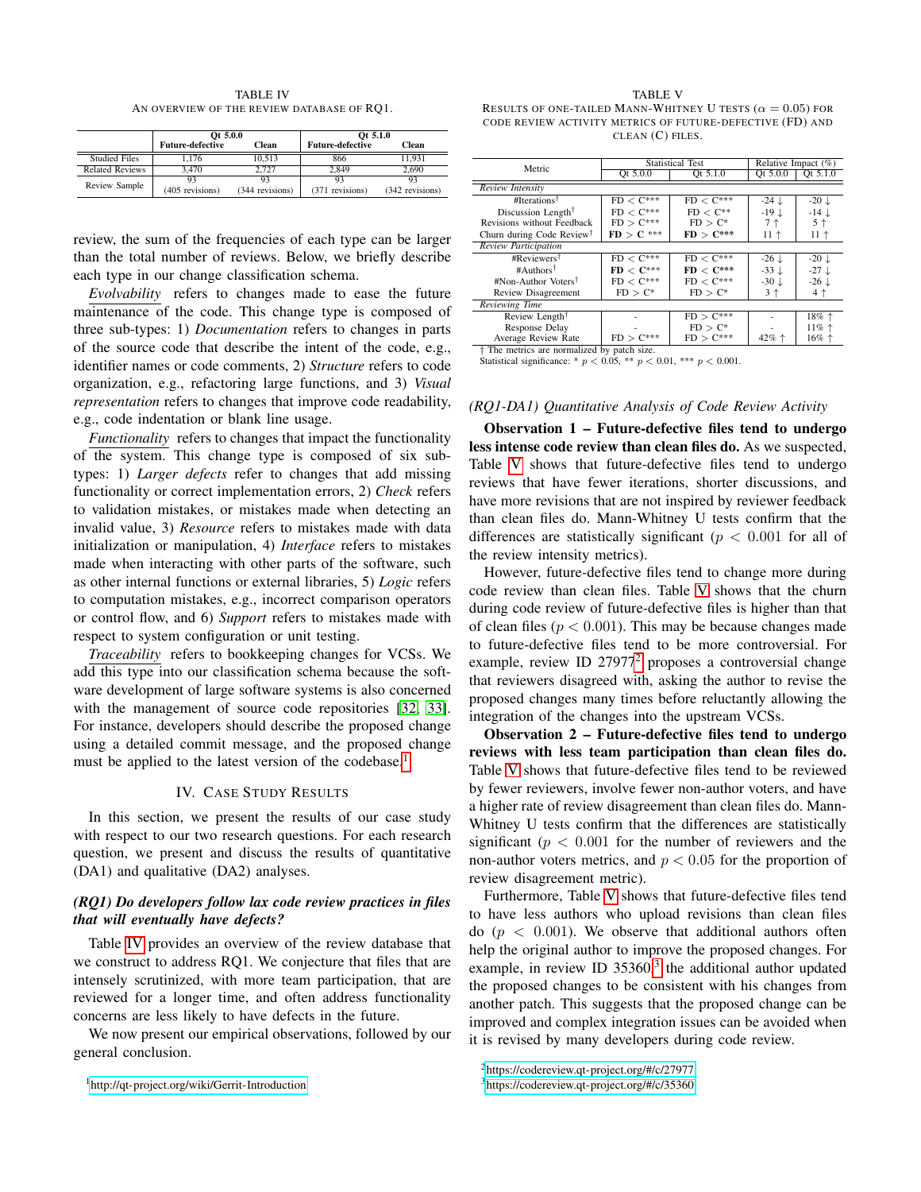TABLE IV AN OVERVIEW OF THE REVIEW DATABASE OF RQ1.

<span id="page-4-2"></span>

|                 | Ot $5.0.0$              |                 | Ot 5.1.0                |                 |
|-----------------|-------------------------|-----------------|-------------------------|-----------------|
|                 | <b>Future-defective</b> | <b>Clean</b>    | <b>Future-defective</b> | <b>Clean</b>    |
| Studied Files   | 1.176                   | 10.513          | 866                     | 11.931          |
| Related Reviews | 3.470                   | 2.727           | 2.849                   | 2.690           |
| Review Sample   | 93                      | 93              | 93                      | 93              |
|                 | $(405$ revisions)       | (344 revisions) | (371 revisions)         | (342 revisions) |

review, the sum of the frequencies of each type can be larger than the total number of reviews. Below, we briefly describe each type in our change classification schema.

*Evolvability* refers to changes made to ease the future maintenance of the code. This change type is composed of three sub-types: 1) *Documentation* refers to changes in parts of the source code that describe the intent of the code, e.g., identifier names or code comments, 2) *Structure* refers to code organization, e.g., refactoring large functions, and 3) *Visual representation* refers to changes that improve code readability, e.g., code indentation or blank line usage.

*Functionality* refers to changes that impact the functionality of the system. This change type is composed of six subtypes: 1) *Larger defects* refer to changes that add missing functionality or correct implementation errors, 2) *Check* refers to validation mistakes, or mistakes made when detecting an invalid value, 3) *Resource* refers to mistakes made with data initialization or manipulation, 4) *Interface* refers to mistakes made when interacting with other parts of the software, such as other internal functions or external libraries, 5) *Logic* refers to computation mistakes, e.g., incorrect comparison operators or control flow, and 6) *Support* refers to mistakes made with respect to system configuration or unit testing.

*Traceability* refers to bookkeeping changes for VCSs. We add this type into our classification schema because the software development of large software systems is also concerned with the management of source code repositories [\[32,](#page-11-6) [33\]](#page-11-7). For instance, developers should describe the proposed change using a detailed commit message, and the proposed change must be applied to the latest version of the codebase.<sup>[1](#page-4-1)</sup>

#### IV. CASE STUDY RESULTS

<span id="page-4-0"></span>In this section, we present the results of our case study with respect to our two research questions. For each research question, we present and discuss the results of quantitative (DA1) and qualitative (DA2) analyses.

# *(RQ1) Do developers follow lax code review practices in files that will eventually have defects?*

Table [IV](#page-4-2) provides an overview of the review database that we construct to address RQ1. We conjecture that files that are intensely scrutinized, with more team participation, that are reviewed for a longer time, and often address functionality concerns are less likely to have defects in the future.

We now present our empirical observations, followed by our general conclusion.

<span id="page-4-3"></span>TABLE V RESULTS OF ONE-TAILED MANN-WHITNEY U TESTS ( $\alpha = 0.05$ ) FOR CODE REVIEW ACTIVITY METRICS OF FUTURE-DEFECTIVE (FD) AND CLEAN (C) FILES.

| Metric                                | <b>Statistical Test</b> |               | Relative Impact $(\%)$ |                    |  |
|---------------------------------------|-------------------------|---------------|------------------------|--------------------|--|
|                                       | Ot 5.0.0                | $Qt$ 5.1.0    | Ot $5.0.0$             | Ot $5.1.0$         |  |
| Review Intensity                      |                         |               |                        |                    |  |
| #Iterations <sup>†</sup>              | $FD < C***$             | $FD < C***$   | $-24 \downarrow$       | $-20 \downarrow$   |  |
| Discussion Length <sup>†</sup>        | $FD < C***$             | $FD < C^{**}$ | $-19$ $\downarrow$     | $-14$ $\downarrow$ |  |
| Revisions without Feedback            | $FD > C***$             | $FD > C^*$    | 7 <sub>1</sub>         | 5 <sup>†</sup>     |  |
| Churn during Code Review <sup>†</sup> | $FD > C$ ***            | $FD > C***$   | $11$ $\uparrow$        | $11$ $\uparrow$    |  |
| <b>Review Participation</b>           |                         |               |                        |                    |  |
| #Reviewers <sup>†</sup>               | $FD < C***$             | $FD < C***$   | $-26\downarrow$        | $-20 \downarrow$   |  |
| #Authors $†$                          | $FD < C***$             | $FD < C***$   | $-33 \downarrow$       | $-27 \downarrow$   |  |
| #Non-Author Voters <sup>†</sup>       | $FD < C***$             | $FD < C***$   | $-30 \downarrow$       | $-26 \downarrow$   |  |
| <b>Review Disagreement</b>            | $FD > C^*$              | $FD > C^*$    | 3 <sub>1</sub>         | 4 <sup>†</sup>     |  |
| Reviewing Time                        |                         |               |                        |                    |  |
| Review Length <sup>†</sup>            |                         | $FD > C***$   |                        | 18% 个              |  |
| Response Delay                        |                         | $FD > C^*$    |                        | $11\% \uparrow$    |  |
| Average Review Rate                   | $FD > C***$             | $FD > C***$   | 42% ↑                  | $16\%$ $\uparrow$  |  |

† The metrics are normalized by patch size.

Statistical significance: \*  $p < 0.05$ , \*\*  $p < 0.01$ , \*\*\*  $p < 0.001$ .

# *(RQ1-DA1) Quantitative Analysis of Code Review Activity*

<span id="page-4-7"></span>Observation 1 – Future-defective files tend to undergo less intense code review than clean files do. As we suspected, Table [V](#page-4-3) shows that future-defective files tend to undergo reviews that have fewer iterations, shorter discussions, and have more revisions that are not inspired by reviewer feedback than clean files do. Mann-Whitney U tests confirm that the differences are statistically significant ( $p < 0.001$  for all of the review intensity metrics).

However, future-defective files tend to change more during code review than clean files. Table [V](#page-4-3) shows that the churn during code review of future-defective files is higher than that of clean files ( $p < 0.001$ ). This may be because changes made to future-defective files tend to be more controversial. For example, review ID  $27977<sup>2</sup>$  $27977<sup>2</sup>$  proposes a controversial change that reviewers disagreed with, asking the author to revise the proposed changes many times before reluctantly allowing the integration of the changes into the upstream VCSs.

<span id="page-4-6"></span>Observation 2 – Future-defective files tend to undergo reviews with less team participation than clean files do. Table [V](#page-4-3) shows that future-defective files tend to be reviewed by fewer reviewers, involve fewer non-author voters, and have a higher rate of review disagreement than clean files do. Mann-Whitney U tests confirm that the differences are statistically significant ( $p < 0.001$  for the number of reviewers and the non-author voters metrics, and  $p < 0.05$  for the proportion of review disagreement metric).

Furthermore, Table [V](#page-4-3) shows that future-defective files tend to have less authors who upload revisions than clean files do ( $p < 0.001$ ). We observe that additional authors often help the original author to improve the proposed changes. For example, in review ID  $35360$  $35360$ ,<sup>3</sup> the additional author updated the proposed changes to be consistent with his changes from another patch. This suggests that the proposed change can be improved and complex integration issues can be avoided when it is revised by many developers during code review.

<span id="page-4-1"></span><sup>1</sup><http://qt-project.org/wiki/Gerrit-Introduction>

<span id="page-4-4"></span><sup>2</sup><https://codereview.qt-project.org/#/c/27977>

<span id="page-4-5"></span><sup>3</sup><https://codereview.qt-project.org/#/c/35360>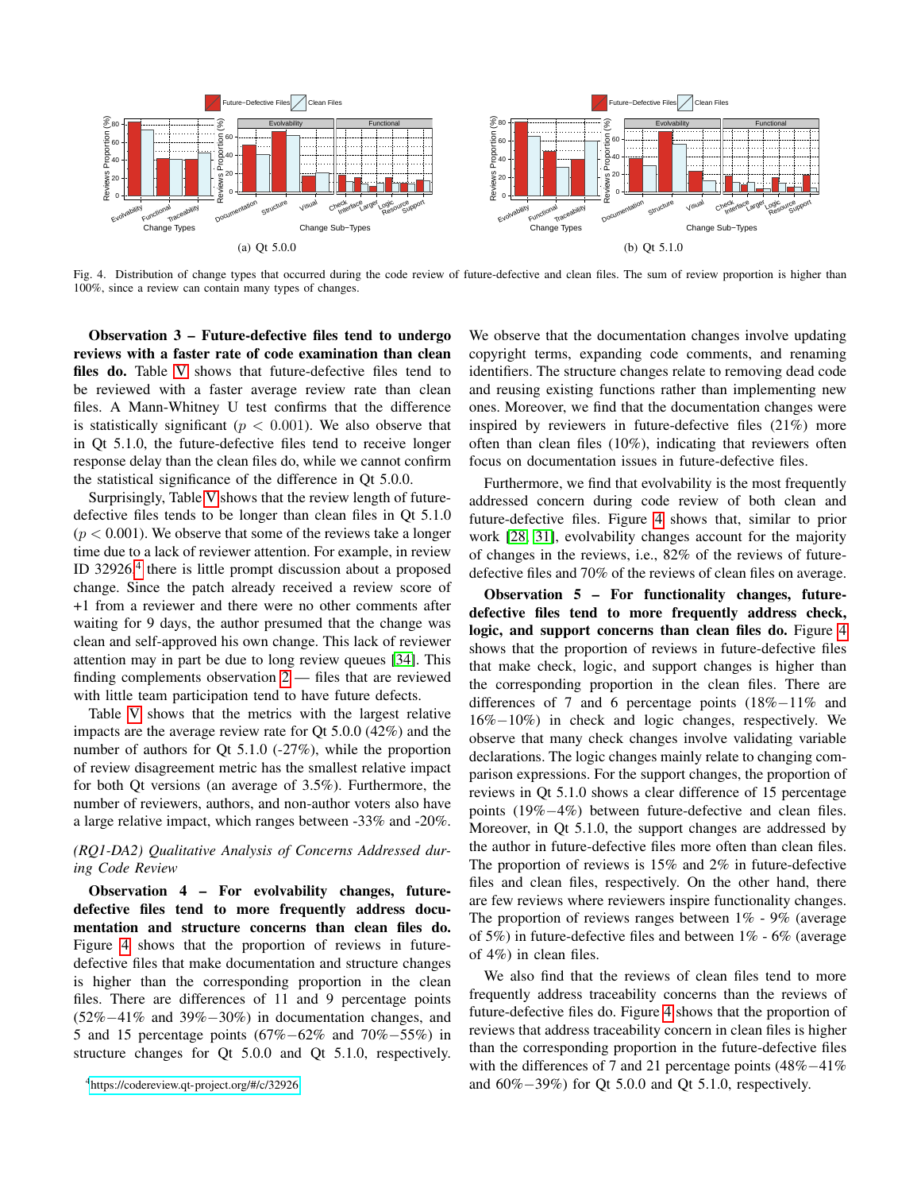

<span id="page-5-1"></span>Fig. 4. Distribution of change types that occurred during the code review of future-defective and clean files. The sum of review proportion is higher than 100%, since a review can contain many types of changes.

<span id="page-5-2"></span>Observation 3 – Future-defective files tend to undergo reviews with a faster rate of code examination than clean files do. Table [V](#page-4-3) shows that future-defective files tend to be reviewed with a faster average review rate than clean files. A Mann-Whitney U test confirms that the difference is statistically significant ( $p < 0.001$ ). We also observe that in Qt 5.1.0, the future-defective files tend to receive longer response delay than the clean files do, while we cannot confirm the statistical significance of the difference in Qt 5.0.0.

Surprisingly, Table [V](#page-4-3) shows that the review length of futuredefective files tends to be longer than clean files in Qt 5.1.0  $(p < 0.001)$ . We observe that some of the reviews take a longer time due to a lack of reviewer attention. For example, in review ID 32926,<sup>[4](#page-5-0)</sup> there is little prompt discussion about a proposed change. Since the patch already received a review score of +1 from a reviewer and there were no other comments after waiting for 9 days, the author presumed that the change was clean and self-approved his own change. This lack of reviewer attention may in part be due to long review queues [\[34\]](#page-11-8). This finding complements observation [2](#page-4-6) — files that are reviewed with little team participation tend to have future defects.

Table [V](#page-4-3) shows that the metrics with the largest relative impacts are the average review rate for Qt 5.0.0 (42%) and the number of authors for Qt 5.1.0 (-27%), while the proportion of review disagreement metric has the smallest relative impact for both Qt versions (an average of 3.5%). Furthermore, the number of reviewers, authors, and non-author voters also have a large relative impact, which ranges between -33% and -20%.

# *(RQ1-DA2) Qualitative Analysis of Concerns Addressed during Code Review*

<span id="page-5-3"></span>Observation 4 – For evolvability changes, futuredefective files tend to more frequently address documentation and structure concerns than clean files do. Figure [4](#page-5-1) shows that the proportion of reviews in futuredefective files that make documentation and structure changes is higher than the corresponding proportion in the clean files. There are differences of 11 and 9 percentage points (52%−41% and 39%−30%) in documentation changes, and 5 and 15 percentage points (67%−62% and 70%−55%) in structure changes for Qt 5.0.0 and Qt 5.1.0, respectively.

We observe that the documentation changes involve updating copyright terms, expanding code comments, and renaming identifiers. The structure changes relate to removing dead code and reusing existing functions rather than implementing new ones. Moreover, we find that the documentation changes were inspired by reviewers in future-defective files (21%) more often than clean files (10%), indicating that reviewers often focus on documentation issues in future-defective files.

Furthermore, we find that evolvability is the most frequently addressed concern during code review of both clean and future-defective files. Figure [4](#page-5-1) shows that, similar to prior work [\[28,](#page-11-2) [31\]](#page-11-5), evolvability changes account for the majority of changes in the reviews, i.e., 82% of the reviews of futuredefective files and 70% of the reviews of clean files on average.

<span id="page-5-4"></span>Observation 5 – For functionality changes, futuredefective files tend to more frequently address check, logic, and support concerns than clean files do. Figure [4](#page-5-1) shows that the proportion of reviews in future-defective files that make check, logic, and support changes is higher than the corresponding proportion in the clean files. There are differences of 7 and 6 percentage points (18%−11% and 16%−10%) in check and logic changes, respectively. We observe that many check changes involve validating variable declarations. The logic changes mainly relate to changing comparison expressions. For the support changes, the proportion of reviews in Qt 5.1.0 shows a clear difference of 15 percentage points (19%−4%) between future-defective and clean files. Moreover, in Qt 5.1.0, the support changes are addressed by the author in future-defective files more often than clean files. The proportion of reviews is 15% and 2% in future-defective files and clean files, respectively. On the other hand, there are few reviews where reviewers inspire functionality changes. The proportion of reviews ranges between 1% - 9% (average of 5%) in future-defective files and between 1% - 6% (average of 4%) in clean files.

We also find that the reviews of clean files tend to more frequently address traceability concerns than the reviews of future-defective files do. Figure [4](#page-5-1) shows that the proportion of reviews that address traceability concern in clean files is higher than the corresponding proportion in the future-defective files with the differences of 7 and 21 percentage points (48%–41% and 60%−39%) for Qt 5.0.0 and Qt 5.1.0, respectively.

<span id="page-5-0"></span><sup>4</sup><https://codereview.qt-project.org/#/c/32926>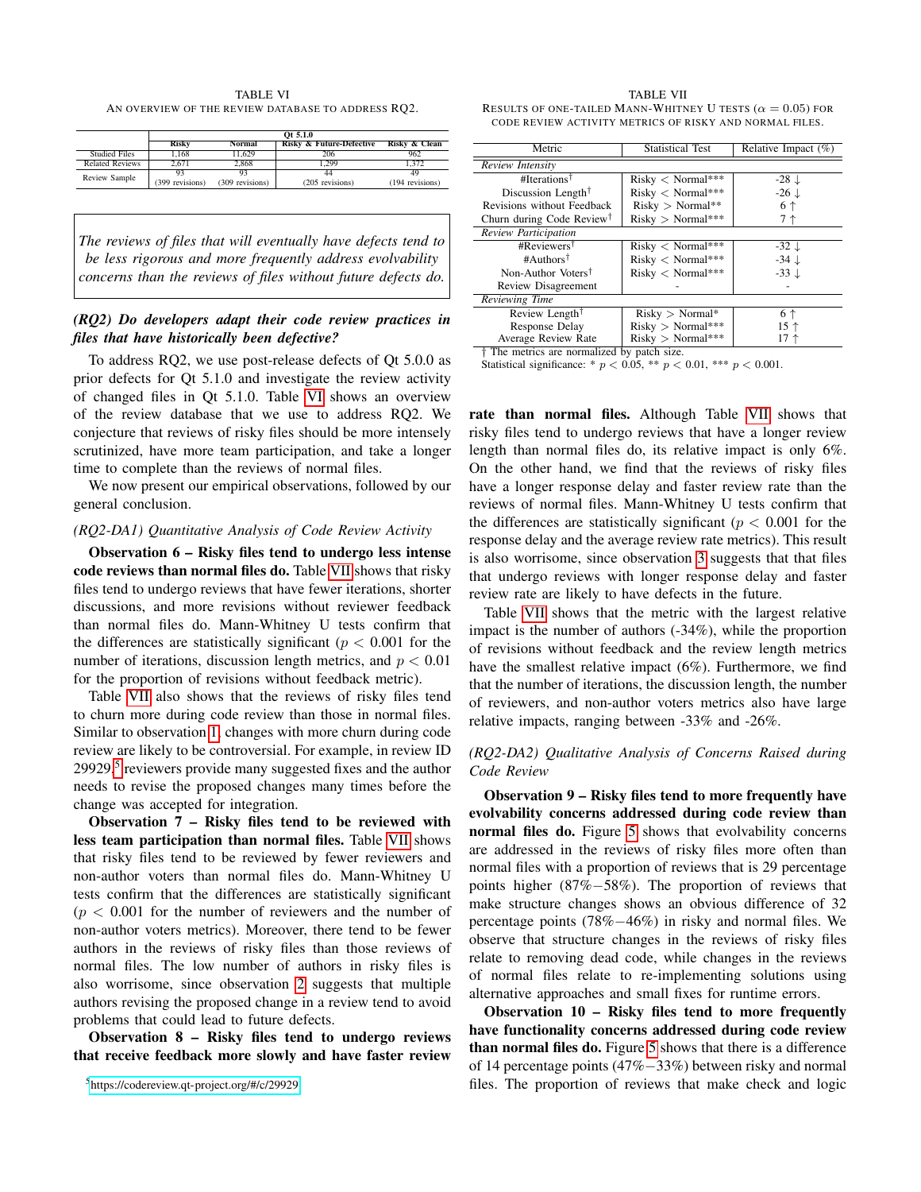TABLE VI AN OVERVIEW OF THE REVIEW DATABASE TO ADDRESS RQ2.

<span id="page-6-0"></span>

|                        | Ot $5.1.0$      |                 |                                     |                 |
|------------------------|-----------------|-----------------|-------------------------------------|-----------------|
|                        | <b>Risky</b>    | <b>Normal</b>   | <b>Risky &amp; Future-Defective</b> | Risky & Clean   |
| <b>Studied Files</b>   | 1.168           | 11.629          | 206                                 | 962             |
| <b>Related Reviews</b> | 2.671           | 2.868           | 1.299                               | .372            |
| Review Sample          | 93              |                 | 44                                  | 49              |
|                        | (399 revisions) | (309 revisions) | (205 revisions)                     | (194 revisions) |

*The reviews of files that will eventually have defects tend to be less rigorous and more frequently address evolvability concerns than the reviews of files without future defects do.*

# *(RQ2) Do developers adapt their code review practices in files that have historically been defective?*

To address RQ2, we use post-release defects of Qt 5.0.0 as prior defects for Qt 5.1.0 and investigate the review activity of changed files in Qt 5.1.0. Table [VI](#page-6-0) shows an overview of the review database that we use to address RQ2. We conjecture that reviews of risky files should be more intensely scrutinized, have more team participation, and take a longer time to complete than the reviews of normal files.

We now present our empirical observations, followed by our general conclusion.

### *(RQ2-DA1) Quantitative Analysis of Code Review Activity*

<span id="page-6-3"></span>Observation 6 – Risky files tend to undergo less intense code reviews than normal files do. Table [VII](#page-6-1) shows that risky files tend to undergo reviews that have fewer iterations, shorter discussions, and more revisions without reviewer feedback than normal files do. Mann-Whitney U tests confirm that the differences are statistically significant ( $p < 0.001$  for the number of iterations, discussion length metrics, and  $p < 0.01$ for the proportion of revisions without feedback metric).

Table [VII](#page-6-1) also shows that the reviews of risky files tend to churn more during code review than those in normal files. Similar to observation [1,](#page-4-7) changes with more churn during code review are likely to be controversial. For example, in review ID 29929,<sup>[5](#page-6-2)</sup> reviewers provide many suggested fixes and the author needs to revise the proposed changes many times before the change was accepted for integration.

<span id="page-6-4"></span>Observation 7 – Risky files tend to be reviewed with less team participation than normal files. Table [VII](#page-6-1) shows that risky files tend to be reviewed by fewer reviewers and non-author voters than normal files do. Mann-Whitney U tests confirm that the differences are statistically significant  $(p < 0.001$  for the number of reviewers and the number of non-author voters metrics). Moreover, there tend to be fewer authors in the reviews of risky files than those reviews of normal files. The low number of authors in risky files is also worrisome, since observation [2](#page-4-6) suggests that multiple authors revising the proposed change in a review tend to avoid problems that could lead to future defects.

<span id="page-6-5"></span>Observation 8 – Risky files tend to undergo reviews that receive feedback more slowly and have faster review

<span id="page-6-1"></span>TABLE VII RESULTS OF ONE-TAILED MANN-WHITNEY U TESTS ( $\alpha = 0.05$ ) FOR CODE REVIEW ACTIVITY METRICS OF RISKY AND NORMAL FILES.

| Metric                                            | <b>Statistical Test</b> | Relative Impact $(\% )$ |
|---------------------------------------------------|-------------------------|-------------------------|
| Review Intensity                                  |                         |                         |
| #Iterations <sup>†</sup>                          | $Risky < Normal***$     | $-28 \downarrow$        |
| Discussion Length <sup>†</sup>                    | $Riskv < Normal***$     | $-26 \downarrow$        |
| Revisions without Feedback                        | $Risky > Normal**$      | 6 ↑                     |
| Churn during Code Review <sup>†</sup>             | $Risky > Normal***$     | 7 ↑                     |
| Review Participation                              |                         |                         |
| #Reviewers <sup>†</sup>                           | $Riskv < Normal***$     | $-32 \downarrow$        |
| $#Authors^{\dagger}$                              | $Risky < Normal***$     | $-34 \downarrow$        |
| Non-Author Voters <sup>†</sup>                    | $Risky < Normal***$     | $-33 \downarrow$        |
| Review Disagreement                               |                         |                         |
| Reviewing Time                                    |                         |                         |
| Review Length <sup>†</sup>                        | $Risky > Normal*$       | 6 ↑                     |
| Response Delay                                    | $Risky > Normal***$     | $15 \uparrow$           |
| Average Review Rate<br>$1 - 1$<br>$\cdot$ $\cdot$ | $Riskv > Normal***$     | 17 1                    |

† The metrics are normalized by patch size.

Statistical significance: \*  $p < 0.05$ , \*\*  $p < 0.01$ , \*\*\*  $p < 0.001$ .

rate than normal files. Although Table [VII](#page-6-1) shows that risky files tend to undergo reviews that have a longer review length than normal files do, its relative impact is only 6%. On the other hand, we find that the reviews of risky files have a longer response delay and faster review rate than the reviews of normal files. Mann-Whitney U tests confirm that the differences are statistically significant ( $p < 0.001$  for the response delay and the average review rate metrics). This result is also worrisome, since observation [3](#page-5-2) suggests that that files that undergo reviews with longer response delay and faster review rate are likely to have defects in the future.

Table [VII](#page-6-1) shows that the metric with the largest relative impact is the number of authors (-34%), while the proportion of revisions without feedback and the review length metrics have the smallest relative impact (6%). Furthermore, we find that the number of iterations, the discussion length, the number of reviewers, and non-author voters metrics also have large relative impacts, ranging between -33% and -26%.

# *(RQ2-DA2) Qualitative Analysis of Concerns Raised during Code Review*

<span id="page-6-6"></span>Observation 9 – Risky files tend to more frequently have evolvability concerns addressed during code review than normal files do. Figure [5](#page-7-0) shows that evolvability concerns are addressed in the reviews of risky files more often than normal files with a proportion of reviews that is 29 percentage points higher (87%−58%). The proportion of reviews that make structure changes shows an obvious difference of 32 percentage points (78%−46%) in risky and normal files. We observe that structure changes in the reviews of risky files relate to removing dead code, while changes in the reviews of normal files relate to re-implementing solutions using alternative approaches and small fixes for runtime errors.

<span id="page-6-7"></span>Observation 10 – Risky files tend to more frequently have functionality concerns addressed during code review than normal files do. Figure [5](#page-7-0) shows that there is a difference of 14 percentage points (47%−33%) between risky and normal files. The proportion of reviews that make check and logic

<span id="page-6-2"></span><sup>5</sup><https://codereview.qt-project.org/#/c/29929>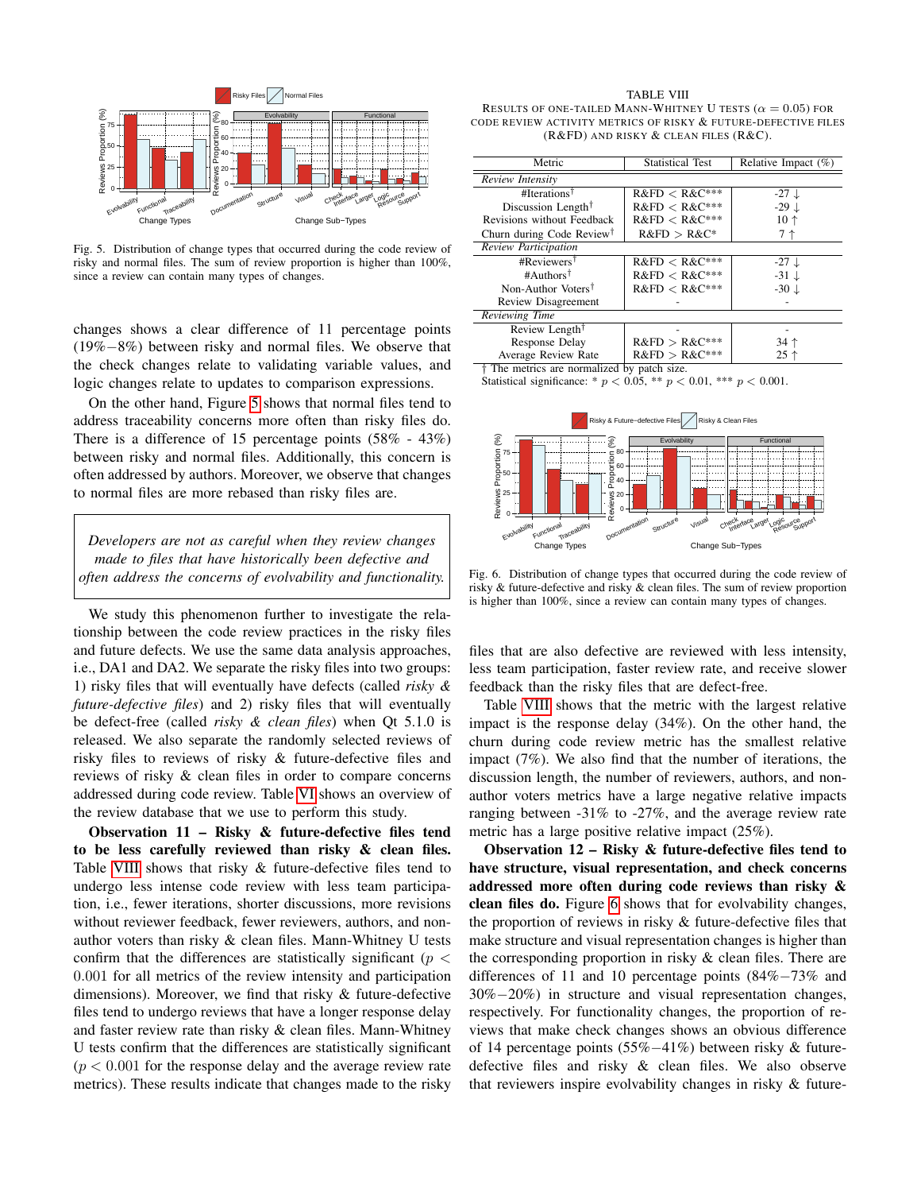

<span id="page-7-0"></span>Fig. 5. Distribution of change types that occurred during the code review of risky and normal files. The sum of review proportion is higher than 100%, since a review can contain many types of changes.

changes shows a clear difference of 11 percentage points (19%−8%) between risky and normal files. We observe that the check changes relate to validating variable values, and logic changes relate to updates to comparison expressions.

On the other hand, Figure [5](#page-7-0) shows that normal files tend to address traceability concerns more often than risky files do. There is a difference of 15 percentage points (58% - 43%) between risky and normal files. Additionally, this concern is often addressed by authors. Moreover, we observe that changes to normal files are more rebased than risky files are.

*Developers are not as careful when they review changes made to files that have historically been defective and often address the concerns of evolvability and functionality.*

We study this phenomenon further to investigate the relationship between the code review practices in the risky files and future defects. We use the same data analysis approaches, i.e., DA1 and DA2. We separate the risky files into two groups: 1) risky files that will eventually have defects (called *risky & future-defective files*) and 2) risky files that will eventually be defect-free (called *risky & clean files*) when Qt 5.1.0 is released. We also separate the randomly selected reviews of risky files to reviews of risky & future-defective files and reviews of risky & clean files in order to compare concerns addressed during code review. Table [VI](#page-6-0) shows an overview of the review database that we use to perform this study.

<span id="page-7-3"></span>Observation 11 – Risky & future-defective files tend to be less carefully reviewed than risky & clean files. Table [VIII](#page-7-1) shows that risky & future-defective files tend to undergo less intense code review with less team participation, i.e., fewer iterations, shorter discussions, more revisions without reviewer feedback, fewer reviewers, authors, and nonauthor voters than risky & clean files. Mann-Whitney U tests confirm that the differences are statistically significant ( $p <$ 0.001 for all metrics of the review intensity and participation dimensions). Moreover, we find that risky & future-defective files tend to undergo reviews that have a longer response delay and faster review rate than risky & clean files. Mann-Whitney U tests confirm that the differences are statistically significant  $(p < 0.001$  for the response delay and the average review rate metrics). These results indicate that changes made to the risky

<span id="page-7-1"></span>TABLE VIII RESULTS OF ONE-TAILED MANN-WHITNEY U TESTS  $(\alpha = 0.05)$  FOR CODE REVIEW ACTIVITY METRICS OF RISKY & FUTURE-DEFECTIVE FILES (R&FD) AND RISKY & CLEAN FILES (R&C).

| Metric                                      | <b>Statistical Test</b> | Relative Impact $(\%)$ |  |  |  |
|---------------------------------------------|-------------------------|------------------------|--|--|--|
| Review Intensity                            |                         |                        |  |  |  |
| #Iterations <sup>†</sup>                    | $R&FD < R&C***$         | $-27 \downarrow$       |  |  |  |
| Discussion Length <sup>†</sup>              | $R&FD < R&C***$         | $-29 \downarrow$       |  |  |  |
| Revisions without Feedback                  | $R&FD < R&C***$         | $10 \uparrow$          |  |  |  |
| Churn during Code Review <sup>†</sup>       | $R&FD > R&C^*$          | 7 ↑                    |  |  |  |
| Review Participation                        |                         |                        |  |  |  |
| $#Reviews^{\dagger}$                        | $R&FD < R&C***$         | -27 $\downarrow$       |  |  |  |
| #Authors <sup>†</sup>                       | $R&FD < R&C***$         | $-31 \downarrow$       |  |  |  |
| Non-Author Voters <sup>†</sup>              | $R&FD < R&C***$         | $-30 \downarrow$       |  |  |  |
| Review Disagreement                         |                         |                        |  |  |  |
| Reviewing Time                              |                         |                        |  |  |  |
| Review Length <sup>†</sup>                  |                         |                        |  |  |  |
| Response Delay                              | $R&FD > R&C***$         | $34 \uparrow$          |  |  |  |
| Average Review Rate                         | $R&FD > R&C***$         | 25 1                   |  |  |  |
| † The metrics are normalized by patch size. |                         |                        |  |  |  |

Statistical significance: \*  $p < 0.05$ , \*\*  $p < 0.01$ , \*\*\*  $p < 0.001$ .



<span id="page-7-2"></span>Fig. 6. Distribution of change types that occurred during the code review of risky & future-defective and risky & clean files. The sum of review proportion is higher than 100%, since a review can contain many types of changes.

files that are also defective are reviewed with less intensity, less team participation, faster review rate, and receive slower feedback than the risky files that are defect-free.

Table [VIII](#page-7-1) shows that the metric with the largest relative impact is the response delay (34%). On the other hand, the churn during code review metric has the smallest relative impact (7%). We also find that the number of iterations, the discussion length, the number of reviewers, authors, and nonauthor voters metrics have a large negative relative impacts ranging between -31% to -27%, and the average review rate metric has a large positive relative impact (25%).

<span id="page-7-4"></span>Observation 12 – Risky & future-defective files tend to have structure, visual representation, and check concerns addressed more often during code reviews than risky & clean files do. Figure [6](#page-7-2) shows that for evolvability changes, the proportion of reviews in risky & future-defective files that make structure and visual representation changes is higher than the corresponding proportion in risky & clean files. There are differences of 11 and 10 percentage points (84%−73% and 30%−20%) in structure and visual representation changes, respectively. For functionality changes, the proportion of reviews that make check changes shows an obvious difference of 14 percentage points (55%−41%) between risky & futuredefective files and risky & clean files. We also observe that reviewers inspire evolvability changes in risky & future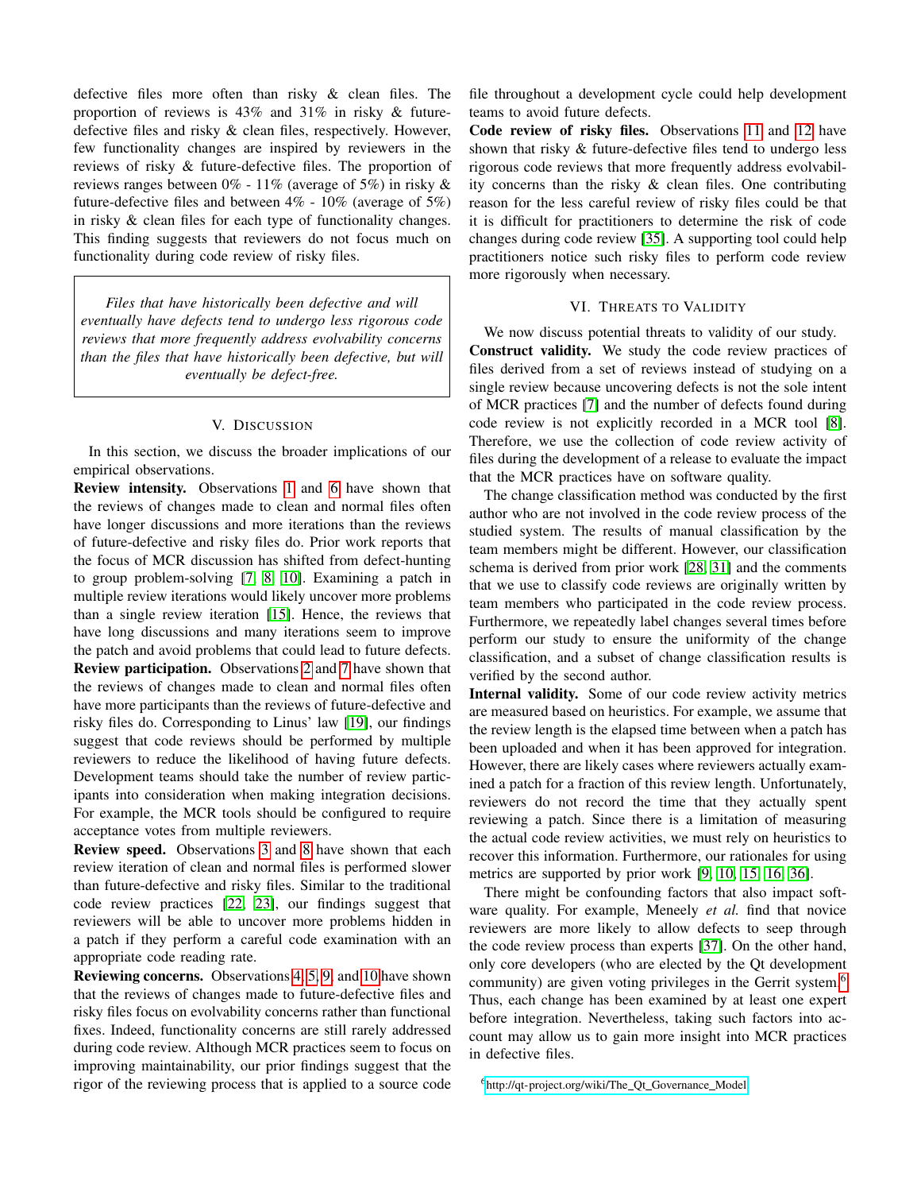defective files more often than risky & clean files. The proportion of reviews is 43% and 31% in risky & futuredefective files and risky & clean files, respectively. However, few functionality changes are inspired by reviewers in the reviews of risky & future-defective files. The proportion of reviews ranges between  $0\%$  -  $11\%$  (average of 5%) in risky & future-defective files and between 4% - 10% (average of 5%) in risky & clean files for each type of functionality changes. This finding suggests that reviewers do not focus much on functionality during code review of risky files.

*Files that have historically been defective and will eventually have defects tend to undergo less rigorous code reviews that more frequently address evolvability concerns than the files that have historically been defective, but will eventually be defect-free.*

# V. DISCUSSION

<span id="page-8-0"></span>In this section, we discuss the broader implications of our empirical observations.

Review intensity. Observations [1](#page-4-7) and [6](#page-6-3) have shown that the reviews of changes made to clean and normal files often have longer discussions and more iterations than the reviews of future-defective and risky files do. Prior work reports that the focus of MCR discussion has shifted from defect-hunting to group problem-solving [\[7,](#page-10-5) [8,](#page-10-6) [10\]](#page-10-12). Examining a patch in multiple review iterations would likely uncover more problems than a single review iteration [\[15\]](#page-10-11). Hence, the reviews that have long discussions and many iterations seem to improve the patch and avoid problems that could lead to future defects. Review participation. Observations [2](#page-4-6) and [7](#page-6-4) have shown that the reviews of changes made to clean and normal files often have more participants than the reviews of future-defective and risky files do. Corresponding to Linus' law [\[19\]](#page-10-17), our findings suggest that code reviews should be performed by multiple reviewers to reduce the likelihood of having future defects. Development teams should take the number of review participants into consideration when making integration decisions. For example, the MCR tools should be configured to require acceptance votes from multiple reviewers.

Review speed. Observations [3](#page-5-2) and [8](#page-6-5) have shown that each review iteration of clean and normal files is performed slower than future-defective and risky files. Similar to the traditional code review practices [\[22,](#page-10-21) [23\]](#page-10-20), our findings suggest that reviewers will be able to uncover more problems hidden in a patch if they perform a careful code examination with an appropriate code reading rate.

Reviewing concerns. Observations [4,](#page-5-3) [5,](#page-5-4) [9,](#page-6-6) and [10](#page-6-7) have shown that the reviews of changes made to future-defective files and risky files focus on evolvability concerns rather than functional fixes. Indeed, functionality concerns are still rarely addressed during code review. Although MCR practices seem to focus on improving maintainability, our prior findings suggest that the rigor of the reviewing process that is applied to a source code file throughout a development cycle could help development teams to avoid future defects.

Code review of risky files. Observations [11](#page-7-3) and [12](#page-7-4) have shown that risky & future-defective files tend to undergo less rigorous code reviews that more frequently address evolvability concerns than the risky & clean files. One contributing reason for the less careful review of risky files could be that it is difficult for practitioners to determine the risk of code changes during code review [\[35\]](#page-11-9). A supporting tool could help practitioners notice such risky files to perform code review more rigorously when necessary.

# VI. THREATS TO VALIDITY

<span id="page-8-1"></span>We now discuss potential threats to validity of our study. Construct validity. We study the code review practices of files derived from a set of reviews instead of studying on a single review because uncovering defects is not the sole intent of MCR practices [\[7\]](#page-10-5) and the number of defects found during code review is not explicitly recorded in a MCR tool [\[8\]](#page-10-6). Therefore, we use the collection of code review activity of files during the development of a release to evaluate the impact that the MCR practices have on software quality.

The change classification method was conducted by the first author who are not involved in the code review process of the studied system. The results of manual classification by the team members might be different. However, our classification schema is derived from prior work [\[28,](#page-11-2) [31\]](#page-11-5) and the comments that we use to classify code reviews are originally written by team members who participated in the code review process. Furthermore, we repeatedly label changes several times before perform our study to ensure the uniformity of the change classification, and a subset of change classification results is verified by the second author.

Internal validity. Some of our code review activity metrics are measured based on heuristics. For example, we assume that the review length is the elapsed time between when a patch has been uploaded and when it has been approved for integration. However, there are likely cases where reviewers actually examined a patch for a fraction of this review length. Unfortunately, reviewers do not record the time that they actually spent reviewing a patch. Since there is a limitation of measuring the actual code review activities, we must rely on heuristics to recover this information. Furthermore, our rationales for using metrics are supported by prior work [\[9,](#page-10-16) [10,](#page-10-12) [15,](#page-10-11) [16,](#page-10-13) [36\]](#page-11-10).

There might be confounding factors that also impact software quality. For example, Meneely *et al.* find that novice reviewers are more likely to allow defects to seep through the code review process than experts [\[37\]](#page-11-11). On the other hand, only core developers (who are elected by the Qt development community) are given voting privileges in the Gerrit system.<sup>[6](#page-8-2)</sup> Thus, each change has been examined by at least one expert before integration. Nevertheless, taking such factors into account may allow us to gain more insight into MCR practices in defective files.

<span id="page-8-2"></span><sup>6</sup>[http://qt-project.org/wiki/The](http://qt-project.org/wiki/The_Qt_Governance_Model)\_Qt\_Governance\_Model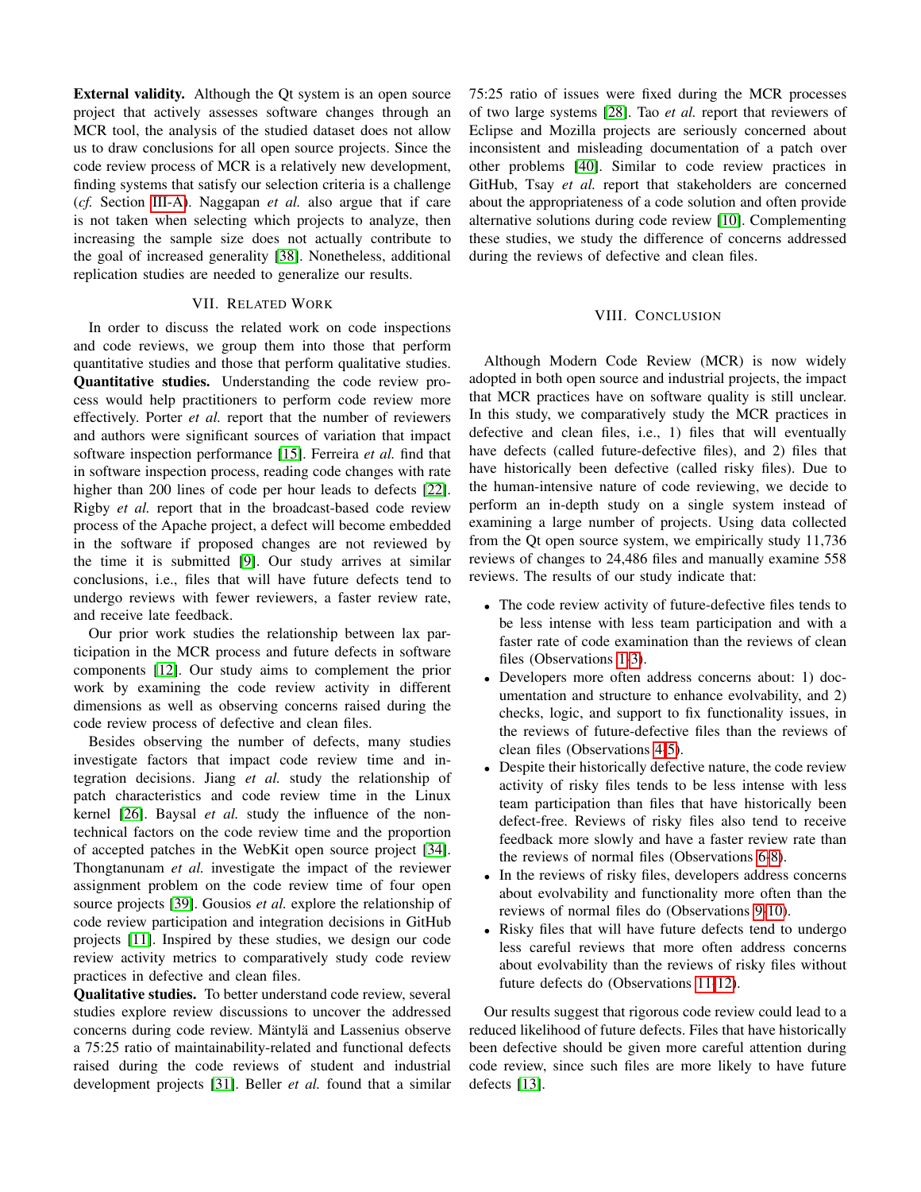External validity. Although the Qt system is an open source project that actively assesses software changes through an MCR tool, the analysis of the studied dataset does not allow us to draw conclusions for all open source projects. Since the code review process of MCR is a relatively new development, finding systems that satisfy our selection criteria is a challenge (*cf.* Section [III-A\)](#page-1-4). Naggapan *et al.* also argue that if care is not taken when selecting which projects to analyze, then increasing the sample size does not actually contribute to the goal of increased generality [\[38\]](#page-11-12). Nonetheless, additional replication studies are needed to generalize our results.

# VII. RELATED WORK

<span id="page-9-0"></span>In order to discuss the related work on code inspections and code reviews, we group them into those that perform quantitative studies and those that perform qualitative studies. Quantitative studies. Understanding the code review process would help practitioners to perform code review more effectively. Porter *et al.* report that the number of reviewers and authors were significant sources of variation that impact software inspection performance [\[15\]](#page-10-11). Ferreira *et al.* find that in software inspection process, reading code changes with rate higher than 200 lines of code per hour leads to defects [\[22\]](#page-10-21). Rigby *et al.* report that in the broadcast-based code review process of the Apache project, a defect will become embedded in the software if proposed changes are not reviewed by the time it is submitted [\[9\]](#page-10-16). Our study arrives at similar conclusions, i.e., files that will have future defects tend to undergo reviews with fewer reviewers, a faster review rate, and receive late feedback.

Our prior work studies the relationship between lax participation in the MCR process and future defects in software components [\[12\]](#page-10-7). Our study aims to complement the prior work by examining the code review activity in different dimensions as well as observing concerns raised during the code review process of defective and clean files.

Besides observing the number of defects, many studies investigate factors that impact code review time and integration decisions. Jiang *et al.* study the relationship of patch characteristics and code review time in the Linux kernel [\[26\]](#page-11-0). Baysal *et al.* study the influence of the nontechnical factors on the code review time and the proportion of accepted patches in the WebKit open source project [\[34\]](#page-11-8). Thongtanunam *et al.* investigate the impact of the reviewer assignment problem on the code review time of four open source projects [\[39\]](#page-11-13). Gousios *et al.* explore the relationship of code review participation and integration decisions in GitHub projects [\[11\]](#page-10-22). Inspired by these studies, we design our code review activity metrics to comparatively study code review practices in defective and clean files.

Qualitative studies. To better understand code review, several studies explore review discussions to uncover the addressed concerns during code review. Mäntylä and Lassenius observe a 75:25 ratio of maintainability-related and functional defects raised during the code reviews of student and industrial development projects [\[31\]](#page-11-5). Beller *et al.* found that a similar

75:25 ratio of issues were fixed during the MCR processes of two large systems [\[28\]](#page-11-2). Tao *et al.* report that reviewers of Eclipse and Mozilla projects are seriously concerned about inconsistent and misleading documentation of a patch over other problems [\[40\]](#page-11-14). Similar to code review practices in GitHub, Tsay *et al.* report that stakeholders are concerned about the appropriateness of a code solution and often provide alternative solutions during code review [\[10\]](#page-10-12). Complementing these studies, we study the difference of concerns addressed during the reviews of defective and clean files.

# VIII. CONCLUSION

<span id="page-9-1"></span>Although Modern Code Review (MCR) is now widely adopted in both open source and industrial projects, the impact that MCR practices have on software quality is still unclear. In this study, we comparatively study the MCR practices in defective and clean files, i.e., 1) files that will eventually have defects (called future-defective files), and 2) files that have historically been defective (called risky files). Due to the human-intensive nature of code reviewing, we decide to perform an in-depth study on a single system instead of examining a large number of projects. Using data collected from the Qt open source system, we empirically study 11,736 reviews of changes to 24,486 files and manually examine 558 reviews. The results of our study indicate that:

- The code review activity of future-defective files tends to be less intense with less team participation and with a faster rate of code examination than the reviews of clean files (Observations [1-](#page-4-7)[3\)](#page-5-2).
- Developers more often address concerns about: 1) documentation and structure to enhance evolvability, and 2) checks, logic, and support to fix functionality issues, in the reviews of future-defective files than the reviews of clean files (Observations [4-](#page-5-3)[5\)](#page-5-4).
- Despite their historically defective nature, the code review activity of risky files tends to be less intense with less team participation than files that have historically been defect-free. Reviews of risky files also tend to receive feedback more slowly and have a faster review rate than the reviews of normal files (Observations [6-](#page-6-3)[8\)](#page-6-5).
- In the reviews of risky files, developers address concerns about evolvability and functionality more often than the reviews of normal files do (Observations [9](#page-6-6)[-10\)](#page-6-7).
- Risky files that will have future defects tend to undergo less careful reviews that more often address concerns about evolvability than the reviews of risky files without future defects do (Observations [11-](#page-7-3)[12\)](#page-7-4).

Our results suggest that rigorous code review could lead to a reduced likelihood of future defects. Files that have historically been defective should be given more careful attention during code review, since such files are more likely to have future defects [\[13\]](#page-10-8).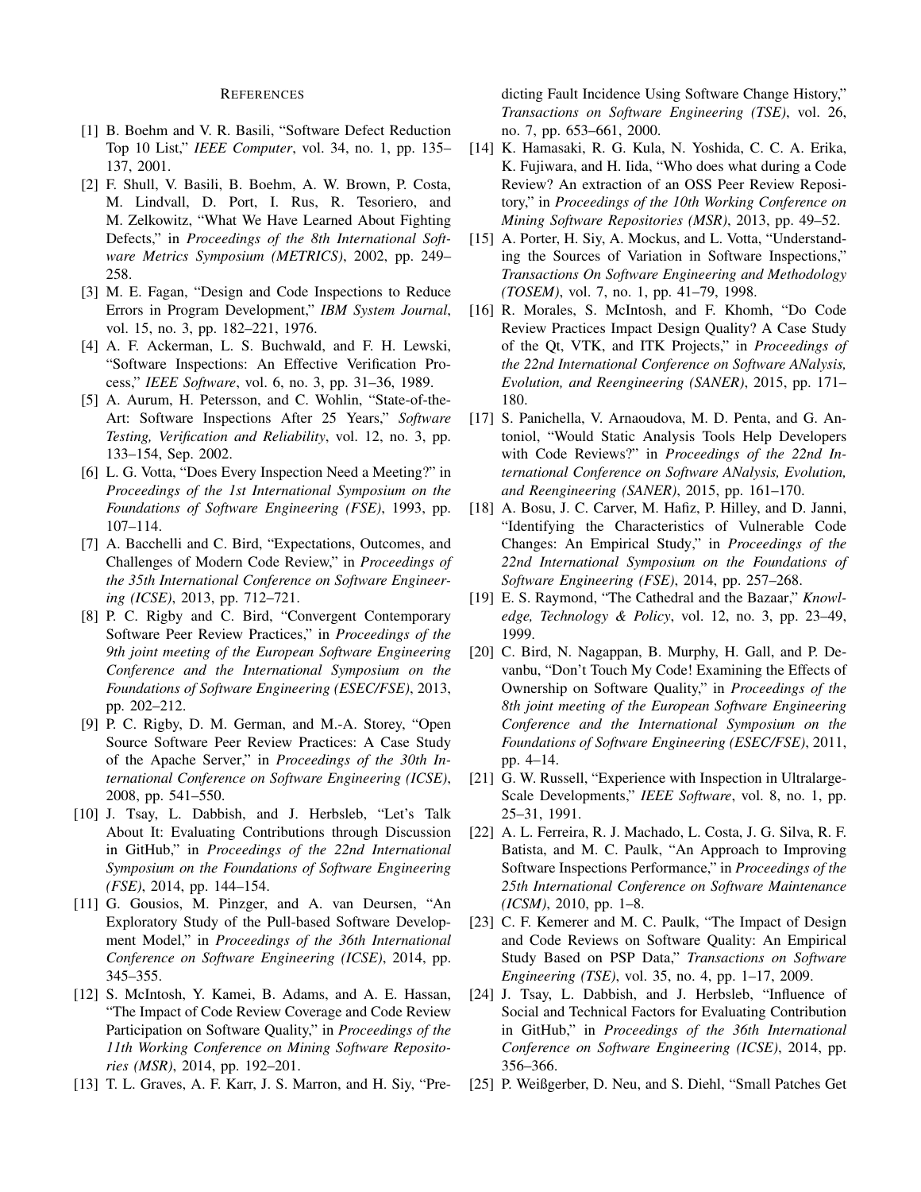#### REFERENCES

- <span id="page-10-0"></span>[1] B. Boehm and V. R. Basili, "Software Defect Reduction Top 10 List," *IEEE Computer*, vol. 34, no. 1, pp. 135– 137, 2001.
- <span id="page-10-1"></span>[2] F. Shull, V. Basili, B. Boehm, A. W. Brown, P. Costa, M. Lindvall, D. Port, I. Rus, R. Tesoriero, and M. Zelkowitz, "What We Have Learned About Fighting Defects," in *Proceedings of the 8th International Software Metrics Symposium (METRICS)*, 2002, pp. 249– 258.
- <span id="page-10-2"></span>[3] M. E. Fagan, "Design and Code Inspections to Reduce Errors in Program Development," *IBM System Journal*, vol. 15, no. 3, pp. 182–221, 1976.
- [4] A. F. Ackerman, L. S. Buchwald, and F. H. Lewski, "Software Inspections: An Effective Verification Process," *IEEE Software*, vol. 6, no. 3, pp. 31–36, 1989.
- <span id="page-10-3"></span>[5] A. Aurum, H. Petersson, and C. Wohlin, "State-of-the-Art: Software Inspections After 25 Years," *Software Testing, Verification and Reliability*, vol. 12, no. 3, pp. 133–154, Sep. 2002.
- <span id="page-10-4"></span>[6] L. G. Votta, "Does Every Inspection Need a Meeting?" in *Proceedings of the 1st International Symposium on the Foundations of Software Engineering (FSE)*, 1993, pp. 107–114.
- <span id="page-10-5"></span>[7] A. Bacchelli and C. Bird, "Expectations, Outcomes, and Challenges of Modern Code Review," in *Proceedings of the 35th International Conference on Software Engineering (ICSE)*, 2013, pp. 712–721.
- <span id="page-10-6"></span>[8] P. C. Rigby and C. Bird, "Convergent Contemporary Software Peer Review Practices," in *Proceedings of the 9th joint meeting of the European Software Engineering Conference and the International Symposium on the Foundations of Software Engineering (ESEC/FSE)*, 2013, pp. 202–212.
- <span id="page-10-16"></span>[9] P. C. Rigby, D. M. German, and M.-A. Storey, "Open Source Software Peer Review Practices: A Case Study of the Apache Server," in *Proceedings of the 30th International Conference on Software Engineering (ICSE)*, 2008, pp. 541–550.
- <span id="page-10-12"></span>[10] J. Tsay, L. Dabbish, and J. Herbsleb, "Let's Talk About It: Evaluating Contributions through Discussion in GitHub," in *Proceedings of the 22nd International Symposium on the Foundations of Software Engineering (FSE)*, 2014, pp. 144–154.
- <span id="page-10-22"></span>[11] G. Gousios, M. Pinzger, and A. van Deursen, "An Exploratory Study of the Pull-based Software Development Model," in *Proceedings of the 36th International Conference on Software Engineering (ICSE)*, 2014, pp. 345–355.
- <span id="page-10-7"></span>[12] S. McIntosh, Y. Kamei, B. Adams, and A. E. Hassan, "The Impact of Code Review Coverage and Code Review Participation on Software Quality," in *Proceedings of the 11th Working Conference on Mining Software Repositories (MSR)*, 2014, pp. 192–201.
- <span id="page-10-8"></span>[13] T. L. Graves, A. F. Karr, J. S. Marron, and H. Siy, "Pre-

dicting Fault Incidence Using Software Change History," *Transactions on Software Engineering (TSE)*, vol. 26, no. 7, pp. 653–661, 2000.

- <span id="page-10-9"></span>[14] K. Hamasaki, R. G. Kula, N. Yoshida, C. C. A. Erika, K. Fujiwara, and H. Iida, "Who does what during a Code Review? An extraction of an OSS Peer Review Repository," in *Proceedings of the 10th Working Conference on Mining Software Repositories (MSR)*, 2013, pp. 49–52.
- <span id="page-10-11"></span>[15] A. Porter, H. Siy, A. Mockus, and L. Votta, "Understanding the Sources of Variation in Software Inspections," *Transactions On Software Engineering and Methodology (TOSEM)*, vol. 7, no. 1, pp. 41–79, 1998.
- <span id="page-10-13"></span>[16] R. Morales, S. McIntosh, and F. Khomh, "Do Code Review Practices Impact Design Quality? A Case Study of the Qt, VTK, and ITK Projects," in *Proceedings of the 22nd International Conference on Software ANalysis, Evolution, and Reengineering (SANER)*, 2015, pp. 171– 180.
- <span id="page-10-14"></span>[17] S. Panichella, V. Arnaoudova, M. D. Penta, and G. Antoniol, "Would Static Analysis Tools Help Developers with Code Reviews?" in *Proceedings of the 22nd International Conference on Software ANalysis, Evolution, and Reengineering (SANER)*, 2015, pp. 161–170.
- <span id="page-10-15"></span>[18] A. Bosu, J. C. Carver, M. Hafiz, P. Hilley, and D. Janni, "Identifying the Characteristics of Vulnerable Code Changes: An Empirical Study," in *Proceedings of the 22nd International Symposium on the Foundations of Software Engineering (FSE)*, 2014, pp. 257–268.
- <span id="page-10-17"></span>[19] E. S. Raymond, "The Cathedral and the Bazaar," *Knowledge, Technology & Policy*, vol. 12, no. 3, pp. 23–49, 1999.
- <span id="page-10-18"></span>[20] C. Bird, N. Nagappan, B. Murphy, H. Gall, and P. Devanbu, "Don't Touch My Code! Examining the Effects of Ownership on Software Quality," in *Proceedings of the 8th joint meeting of the European Software Engineering Conference and the International Symposium on the Foundations of Software Engineering (ESEC/FSE)*, 2011, pp. 4–14.
- <span id="page-10-19"></span>[21] G. W. Russell, "Experience with Inspection in Ultralarge-Scale Developments," *IEEE Software*, vol. 8, no. 1, pp. 25–31, 1991.
- <span id="page-10-21"></span>[22] A. L. Ferreira, R. J. Machado, L. Costa, J. G. Silva, R. F. Batista, and M. C. Paulk, "An Approach to Improving Software Inspections Performance," in *Proceedings of the 25th International Conference on Software Maintenance (ICSM)*, 2010, pp. 1–8.
- <span id="page-10-20"></span>[23] C. F. Kemerer and M. C. Paulk, "The Impact of Design and Code Reviews on Software Quality: An Empirical Study Based on PSP Data," *Transactions on Software Engineering (TSE)*, vol. 35, no. 4, pp. 1–17, 2009.
- <span id="page-10-10"></span>[24] J. Tsay, L. Dabbish, and J. Herbsleb, "Influence of Social and Technical Factors for Evaluating Contribution in GitHub," in *Proceedings of the 36th International Conference on Software Engineering (ICSE)*, 2014, pp. 356–366.
- [25] P. Weißgerber, D. Neu, and S. Diehl, "Small Patches Get